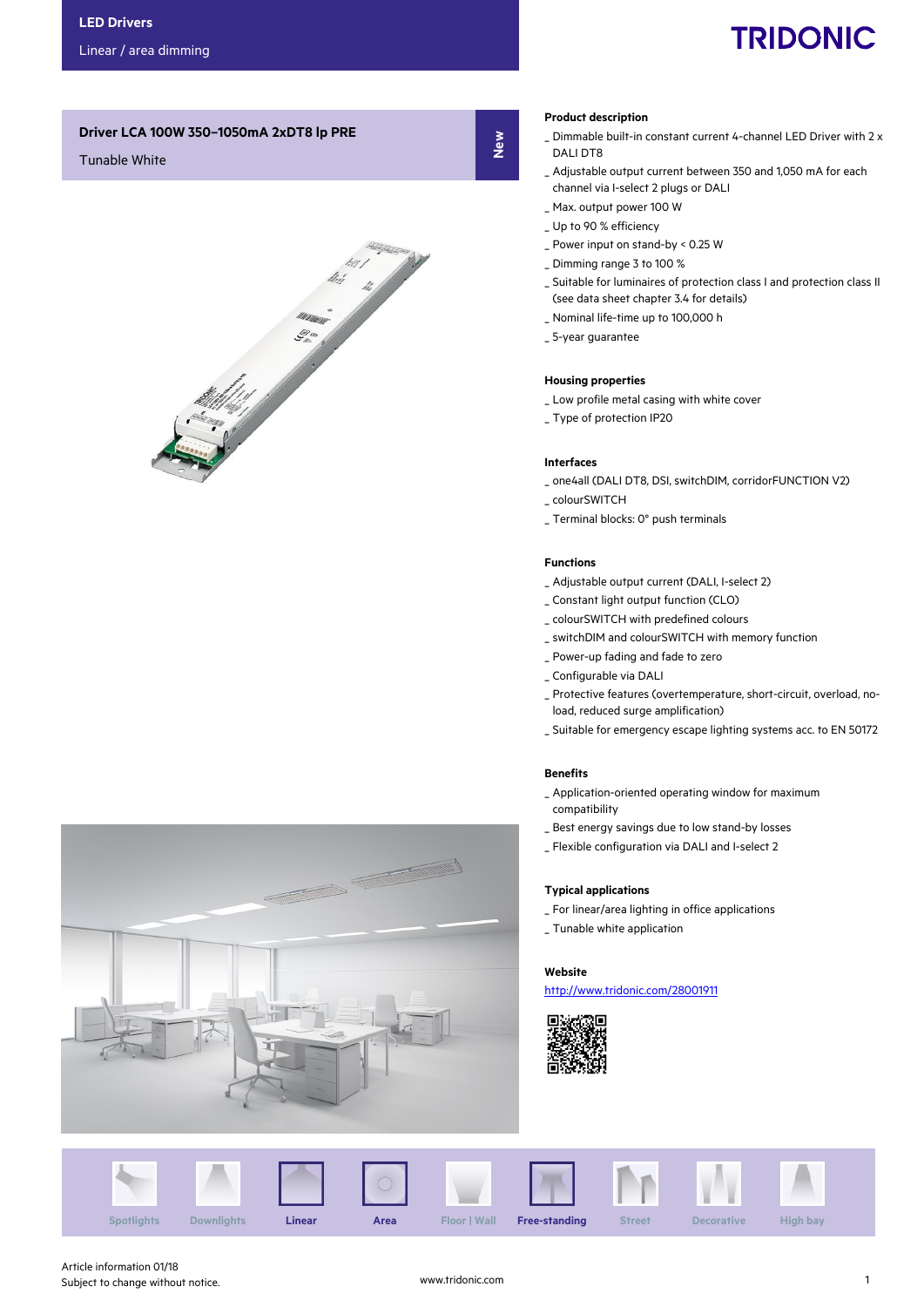# **TRIDONIC**

## Driver LCA 100W 350–1050mA 2xDT8 lp PRE

## Tunable White



#### Product description

New

- \_ Dimmable built-in constant current 4-channel LED Driver with 2 x DALI DT8
- \_ Adjustable output current between 350 and 1,050 mA for each channel via I-select 2 plugs or DALI
- \_ Max. output power 100 W
- \_ Up to 90 % efficiency
- \_ Power input on stand-by < 0.25 W
- \_ Dimming range 3 to 100 %
- \_ Suitable for luminaires of protection class I and protection class II (see data sheet chapter 3.4 for details)
- \_ Nominal life-time up to 100,000 h
- \_ 5-year guarantee

## Housing properties

- \_ Low profile metal casing with white cover
- \_ Type of protection IP20

#### Interfaces

- \_ one4all (DALI DT8, DSI, switchDIM, corridorFUNCTION V2)
- \_ colourSWITCH
- \_ Terminal blocks: 0° push terminals

#### Functions

- \_ Adjustable output current (DALI, I-select 2)
- \_ Constant light output function (CLO)
- \_ colourSWITCH with predefined colours
- \_ switchDIM and colourSWITCH with memory function
- \_ Power-up fading and fade to zero
- \_ Configurable via DALI
- \_ Protective features (overtemperature, short-circuit, overload, noload, reduced surge amplification)
- \_ Suitable for emergency escape lighting systems acc. to EN 50172

#### Benefits

- \_ Application-oriented operating window for maximum compatibility
- \_ Best energy savings due to low stand-by losses
- \_ Flexible configuration via DALI and I-select 2

#### Typical applications

- \_ For linear/area lighting in office applications
- \_ Tunable white application

#### Website

http://www.tridonic.com/28001911





**Soldier School Section**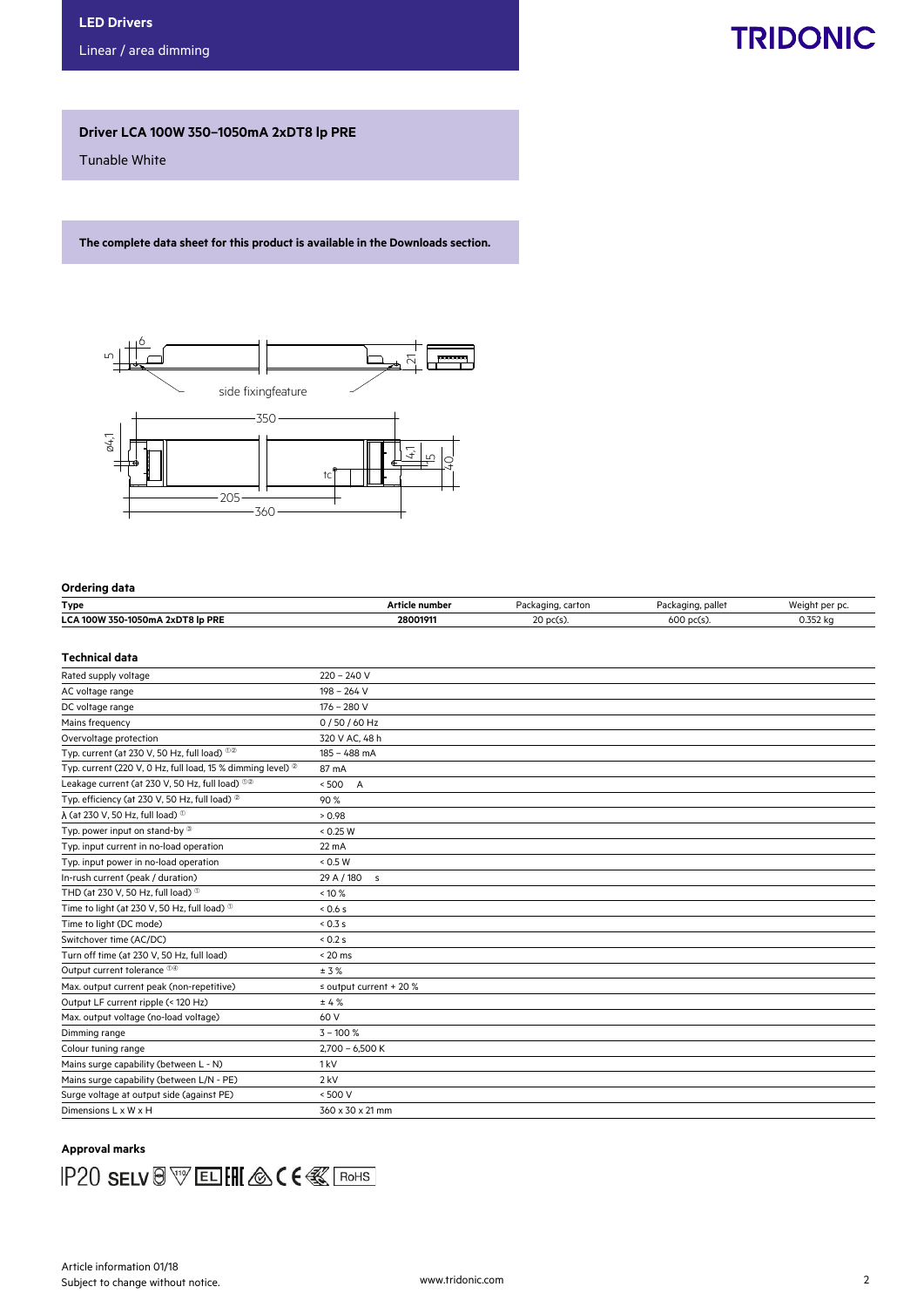## **TRIDONIC**

## Driver LCA 100W 350–1050mA 2xDT8 lp PRE

Tunable White

The complete data sheet for this product is available in the Downloads section.



#### Ordering data

| Type                                          | : numbei<br>Artic | Packagino<br>∴ carton.        | <br>. palle<br>$1.1777$ and $1.177$<br>.kau | $181-$<br>aht per pi<br>.        |
|-----------------------------------------------|-------------------|-------------------------------|---------------------------------------------|----------------------------------|
| 2xDT8 lp PRE<br><b>LCA 100W</b><br>350-1050mA | 2800191           | $\sim$<br>$\sim$<br>LU DULSJ. | 600<br>גכו טע                               | $\sim$ $\sim$ $\sim$<br>0.352 KG |

#### Technical data

| Rated supply voltage                                                   | $220 - 240V$                |
|------------------------------------------------------------------------|-----------------------------|
| AC voltage range                                                       | $198 - 264$ V               |
| DC voltage range                                                       | $176 - 280$ V               |
| Mains frequency                                                        | 0/50/60 Hz                  |
| Overvoltage protection                                                 | 320 V AC, 48 h              |
| Typ. current (at 230 V, 50 Hz, full load) $00$                         | $185 - 488$ mA              |
| Typ. current (220 V, 0 Hz, full load, 15 % dimming level) <sup>2</sup> | 87 mA                       |
| Leakage current (at 230 V, 50 Hz, full load) <sup>12</sup>             | $\overline{A}$<br>< 500     |
| Typ. efficiency (at 230 V, 50 Hz, full load) <sup>20</sup>             | 90%                         |
| $\lambda$ (at 230 V, 50 Hz, full load) $^{\circledR}$                  | > 0.98                      |
| Typ. power input on stand-by ®                                         | < 0.25 W                    |
| Typ. input current in no-load operation                                | $22 \text{ mA}$             |
| Typ. input power in no-load operation                                  | < 0.5 W                     |
| In-rush current (peak / duration)                                      | 29 A / 180 s                |
| THD (at 230 V, 50 Hz, full load) $^{\circ}$                            | $< 10 \%$                   |
| Time to light (at 230 V, 50 Hz, full load) <sup>®</sup>                | 0.6s                        |
| Time to light (DC mode)                                                | 0.3s                        |
| Switchover time (AC/DC)                                                | < 0.2 s                     |
| Turn off time (at 230 V, 50 Hz, full load)                             | $< 20$ ms                   |
| Output current tolerance <sup>14</sup>                                 | ± 3%                        |
| Max. output current peak (non-repetitive)                              | $\le$ output current + 20 % |
| Output LF current ripple (< 120 Hz)                                    | ±4%                         |
| Max. output voltage (no-load voltage)                                  | 60 V                        |
| Dimming range                                                          | $3 - 100 %$                 |
| Colour tuning range                                                    | $2,700 - 6,500 K$           |
| Mains surge capability (between L - N)                                 | 1 <sub>kV</sub>             |
| Mains surge capability (between L/N - PE)                              | $2$ kV                      |
| Surge voltage at output side (against PE)                              | < 500 V                     |
| Dimensions L x W x H                                                   | 360 x 30 x 21 mm            |

## Approval marks